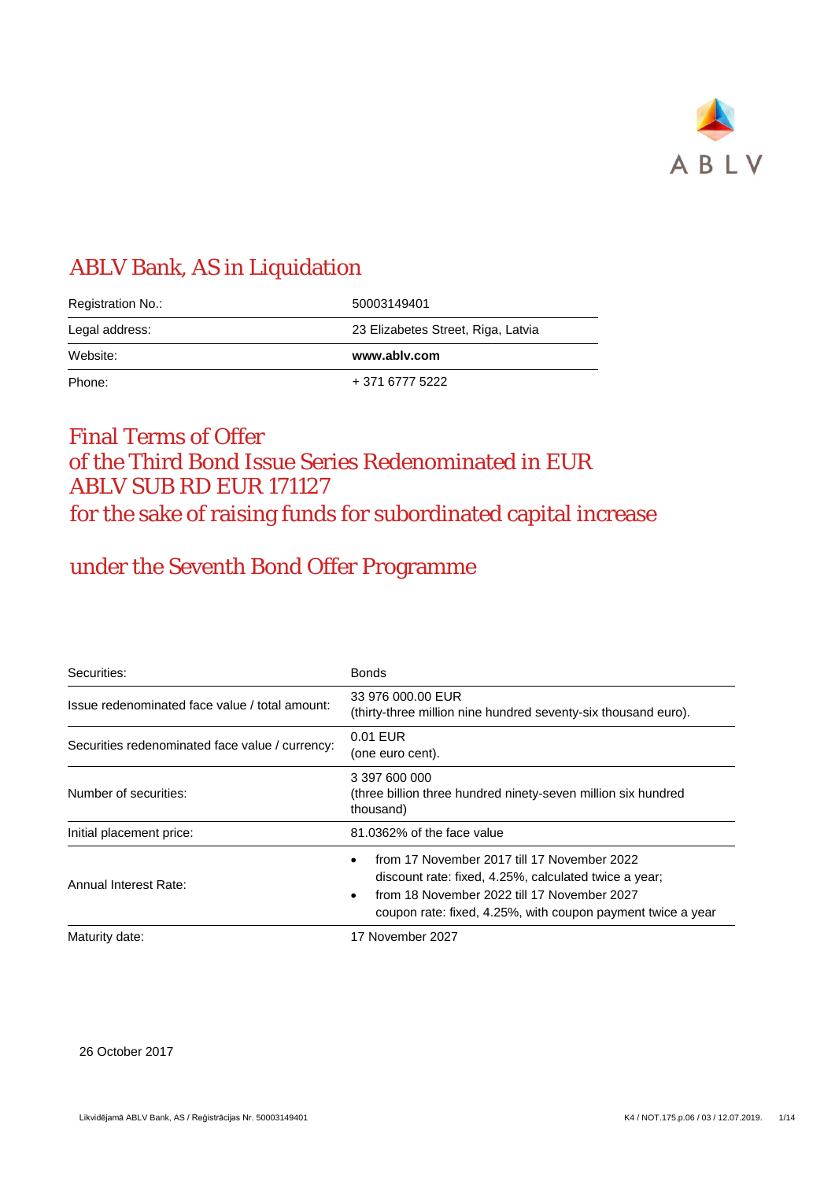

## ABLV Bank, AS in Liquidation

| Registration No.: | 50003149401                        |
|-------------------|------------------------------------|
| Legal address:    | 23 Elizabetes Street, Riga, Latvia |
|                   |                                    |
| Website:          | www.ablv.com                       |

## Final Terms of Offer of the Third Bond Issue Series Redenominated in EUR ABLV SUB RD EUR 171127 for the sake of raising funds for subordinated capital increase

## under the Seventh Bond Offer Programme

| Securities:                                     | <b>Bonds</b>                                                                                                                                                                                                            |
|-------------------------------------------------|-------------------------------------------------------------------------------------------------------------------------------------------------------------------------------------------------------------------------|
| Issue redenominated face value / total amount:  | 33 976 000.00 EUR<br>(thirty-three million nine hundred seventy-six thousand euro).                                                                                                                                     |
| Securities redenominated face value / currency: | 0.01 EUR<br>(one euro cent).                                                                                                                                                                                            |
| Number of securities:                           | 3 397 600 000<br>(three billion three hundred ninety-seven million six hundred<br>thousand)                                                                                                                             |
| Initial placement price:                        | 81.0362% of the face value                                                                                                                                                                                              |
| Annual Interest Rate:                           | from 17 November 2017 till 17 November 2022<br>discount rate: fixed, 4.25%, calculated twice a year;<br>from 18 November 2022 till 17 November 2027<br>٠<br>coupon rate: fixed, 4.25%, with coupon payment twice a year |
| Maturity date:                                  | 17 November 2027                                                                                                                                                                                                        |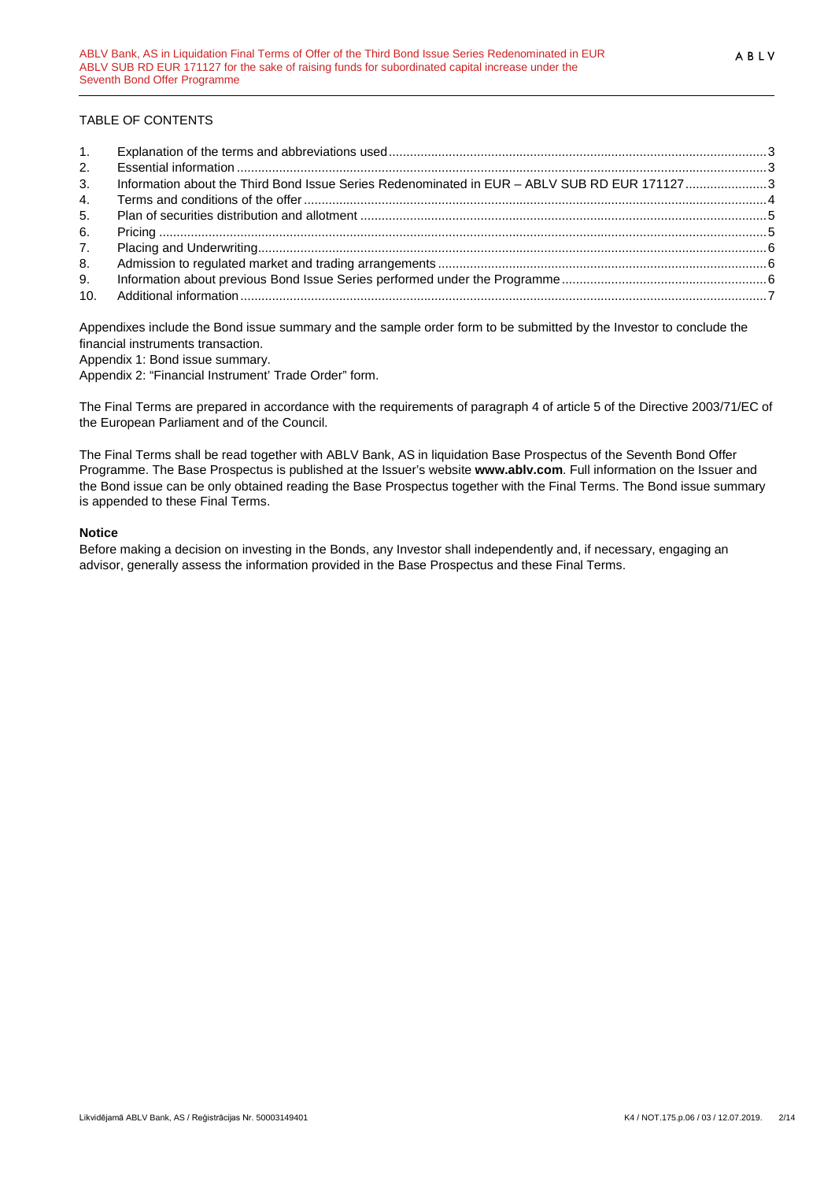### TABLE OF CONTENTS

| 1. |                                                                                              |  |
|----|----------------------------------------------------------------------------------------------|--|
| 2. |                                                                                              |  |
| 3. | Information about the Third Bond Issue Series Redenominated in EUR - ABLV SUB RD EUR 1711273 |  |
| 4. |                                                                                              |  |
| 5. |                                                                                              |  |
| 6. |                                                                                              |  |
| 7. |                                                                                              |  |
| 8. |                                                                                              |  |
| 9. |                                                                                              |  |
|    |                                                                                              |  |
|    |                                                                                              |  |

Appendixes include the Bond issue summary and the sample order form to be submitted by the Investor to conclude the financial instruments transaction.

Appendix 1: Bond issue summary.

Appendix 2: "Financial Instrument' Trade Order" form.

The Final Terms are prepared in accordance with the requirements of paragraph 4 of article 5 of the Directive 2003/71/EC of the European Parliament and of the Council.

The Final Terms shall be read together with ABLV Bank, AS in liquidation Base Prospectus of the Seventh Bond Offer Programme. The Base Prospectus is published at the Issuer's website **www.ablv.com**. Full information on the Issuer and the Bond issue can be only obtained reading the Base Prospectus together with the Final Terms. The Bond issue summary is appended to these Final Terms.

#### **Notice**

Before making a decision on investing in the Bonds, any Investor shall independently and, if necessary, engaging an advisor, generally assess the information provided in the Base Prospectus and these Final Terms.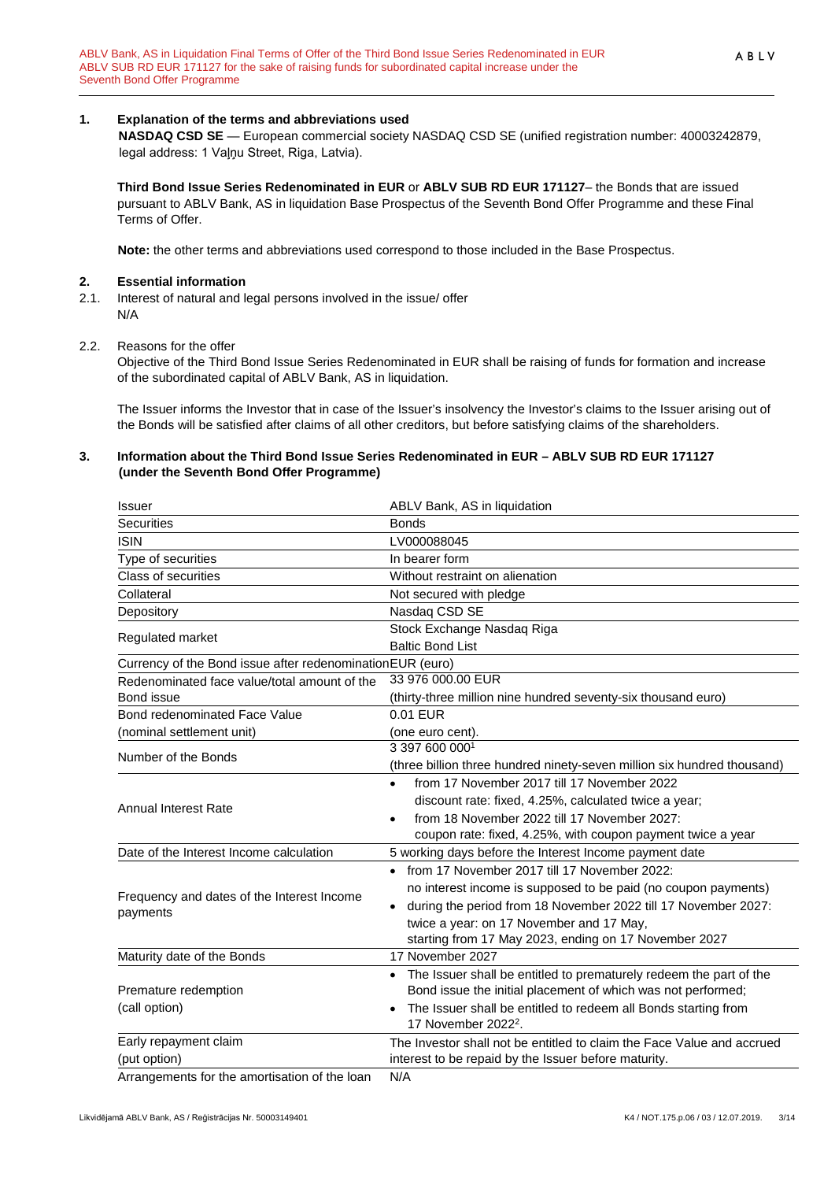#### <span id="page-2-0"></span>**1. Explanation of the terms and abbreviations used**

**NASDAQ CSD SE** — European commercial society NASDAQ CSD SE (unified registration number: 40003242879, legal address: 1 Vaļņu Street, Riga, Latvia).

**Third Bond Issue Series Redenominated in EUR** or **ABLV SUB RD EUR 171127**– the Bonds that are issued pursuant to ABLV Bank, AS in liquidation Base Prospectus of the Seventh Bond Offer Programme and these Final Terms of Offer.

**Note:** the other terms and abbreviations used correspond to those included in the Base Prospectus.

# <span id="page-2-1"></span>**2. Essential information**<br>**2.1.** Interest of natural and k

- Interest of natural and legal persons involved in the issue/ offer N/A
- 2.2. Reasons for the offer

Objective of the Third Bond Issue Series Redenominated in EUR shall be raising of funds for formation and increase of the subordinated capital of ABLV Bank, AS in liquidation.

The Issuer informs the Investor that in case of the Issuer's insolvency the Investor's claims to the Issuer arising out of the Bonds will be satisfied after claims of all other creditors, but before satisfying claims of the shareholders.

#### <span id="page-2-2"></span>**3. Information about the Third Bond Issue Series Redenominated in EUR – ABLV SUB RD EUR 171127 (under the Seventh Bond Offer Programme)**

| Issuer                                                        | ABLV Bank, AS in liquidation                                                |
|---------------------------------------------------------------|-----------------------------------------------------------------------------|
| <b>Securities</b>                                             | <b>Bonds</b>                                                                |
| <b>ISIN</b>                                                   | LV000088045                                                                 |
| Type of securities                                            | In bearer form                                                              |
| Class of securities                                           | Without restraint on alienation                                             |
| Collateral                                                    | Not secured with pledge                                                     |
| Depository                                                    | Nasdaq CSD SE                                                               |
| Regulated market                                              | Stock Exchange Nasdaq Riga                                                  |
|                                                               | <b>Baltic Bond List</b>                                                     |
| Currency of the Bond issue after redenomination EUR (euro)    |                                                                             |
| Redenominated face value/total amount of the                  | 33 976 000.00 EUR                                                           |
| Bond issue                                                    | (thirty-three million nine hundred seventy-six thousand euro)               |
| Bond redenominated Face Value                                 | 0.01 EUR                                                                    |
| (nominal settlement unit)                                     | (one euro cent).                                                            |
| Number of the Bonds                                           | 3 397 600 0001                                                              |
|                                                               | (three billion three hundred ninety-seven million six hundred thousand)     |
|                                                               | from 17 November 2017 till 17 November 2022<br>$\bullet$                    |
| <b>Annual Interest Rate</b>                                   | discount rate: fixed, 4.25%, calculated twice a year;                       |
|                                                               | from 18 November 2022 till 17 November 2027:<br>$\bullet$                   |
|                                                               | coupon rate: fixed, 4.25%, with coupon payment twice a year                 |
| Date of the Interest Income calculation                       | 5 working days before the Interest Income payment date                      |
|                                                               | from 17 November 2017 till 17 November 2022:                                |
| Frequency and dates of the Interest Income                    | no interest income is supposed to be paid (no coupon payments)              |
| payments                                                      | during the period from 18 November 2022 till 17 November 2027:<br>$\bullet$ |
|                                                               | twice a year: on 17 November and 17 May,                                    |
|                                                               | starting from 17 May 2023, ending on 17 November 2027                       |
| Maturity date of the Bonds                                    | 17 November 2027                                                            |
|                                                               | The Issuer shall be entitled to prematurely redeem the part of the          |
| Premature redemption                                          | Bond issue the initial placement of which was not performed;                |
| (call option)                                                 | The Issuer shall be entitled to redeem all Bonds starting from              |
|                                                               | 17 November 2022 <sup>2</sup> .                                             |
| Early repayment claim                                         | The Investor shall not be entitled to claim the Face Value and accrued      |
| (put option)<br>Arrangements for the amortisation of the loan | interest to be repaid by the Issuer before maturity.<br>N/A                 |

Arrangements for the amortisation of the loan N/A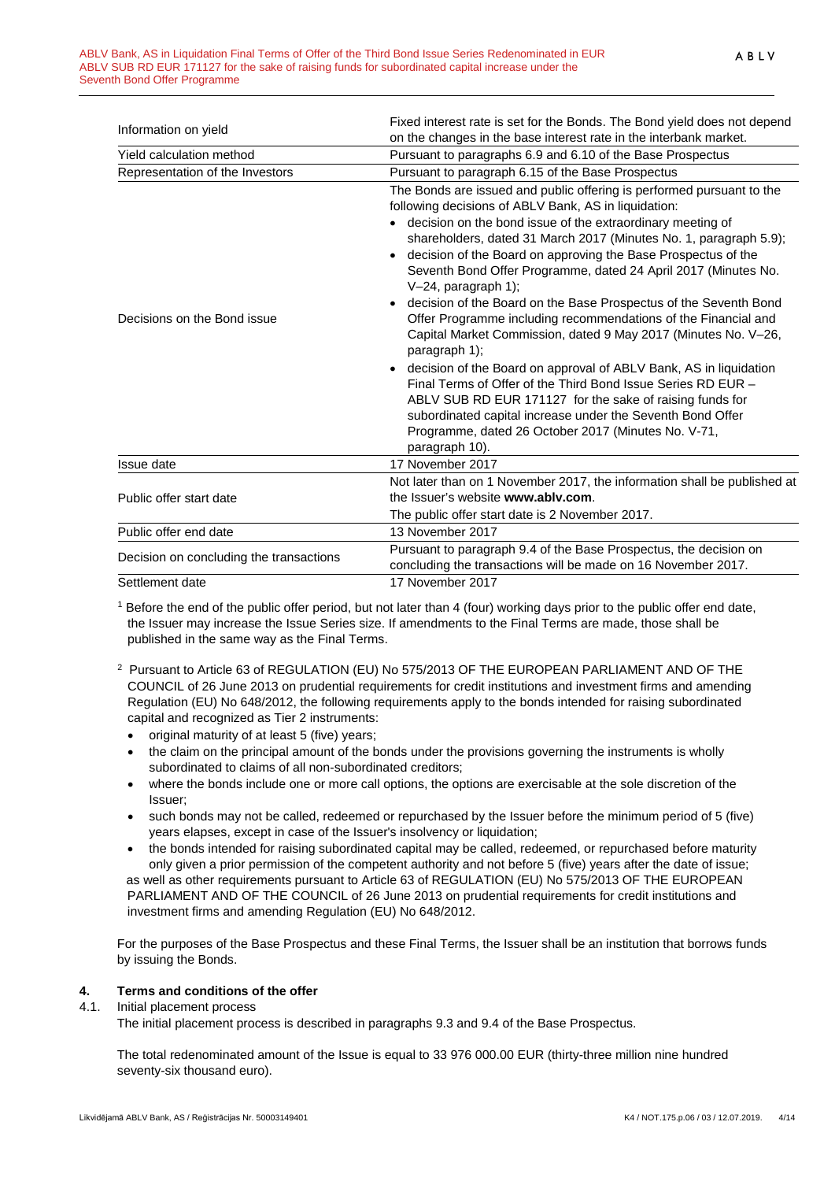| Information on yield                    | Fixed interest rate is set for the Bonds. The Bond yield does not depend                                                                                                                                                                                                                                                                                                                                                                                                                                                                                                                                                                                                                                                                                                                                                                                                                                                                                                                                   |
|-----------------------------------------|------------------------------------------------------------------------------------------------------------------------------------------------------------------------------------------------------------------------------------------------------------------------------------------------------------------------------------------------------------------------------------------------------------------------------------------------------------------------------------------------------------------------------------------------------------------------------------------------------------------------------------------------------------------------------------------------------------------------------------------------------------------------------------------------------------------------------------------------------------------------------------------------------------------------------------------------------------------------------------------------------------|
|                                         | on the changes in the base interest rate in the interbank market.                                                                                                                                                                                                                                                                                                                                                                                                                                                                                                                                                                                                                                                                                                                                                                                                                                                                                                                                          |
| Yield calculation method                | Pursuant to paragraphs 6.9 and 6.10 of the Base Prospectus                                                                                                                                                                                                                                                                                                                                                                                                                                                                                                                                                                                                                                                                                                                                                                                                                                                                                                                                                 |
| Representation of the Investors         | Pursuant to paragraph 6.15 of the Base Prospectus                                                                                                                                                                                                                                                                                                                                                                                                                                                                                                                                                                                                                                                                                                                                                                                                                                                                                                                                                          |
| Decisions on the Bond issue             | The Bonds are issued and public offering is performed pursuant to the<br>following decisions of ABLV Bank, AS in liquidation:<br>• decision on the bond issue of the extraordinary meeting of<br>shareholders, dated 31 March 2017 (Minutes No. 1, paragraph 5.9);<br>decision of the Board on approving the Base Prospectus of the<br>Seventh Bond Offer Programme, dated 24 April 2017 (Minutes No.<br>V-24, paragraph 1);<br>decision of the Board on the Base Prospectus of the Seventh Bond<br>$\bullet$<br>Offer Programme including recommendations of the Financial and<br>Capital Market Commission, dated 9 May 2017 (Minutes No. V-26,<br>paragraph 1);<br>decision of the Board on approval of ABLV Bank, AS in liquidation<br>Final Terms of Offer of the Third Bond Issue Series RD EUR -<br>ABLV SUB RD EUR 171127 for the sake of raising funds for<br>subordinated capital increase under the Seventh Bond Offer<br>Programme, dated 26 October 2017 (Minutes No. V-71,<br>paragraph 10). |
| Issue date                              | 17 November 2017                                                                                                                                                                                                                                                                                                                                                                                                                                                                                                                                                                                                                                                                                                                                                                                                                                                                                                                                                                                           |
| Public offer start date                 | Not later than on 1 November 2017, the information shall be published at<br>the Issuer's website www.ably.com.<br>The public offer start date is 2 November 2017.                                                                                                                                                                                                                                                                                                                                                                                                                                                                                                                                                                                                                                                                                                                                                                                                                                          |
| Public offer end date                   | 13 November 2017                                                                                                                                                                                                                                                                                                                                                                                                                                                                                                                                                                                                                                                                                                                                                                                                                                                                                                                                                                                           |
| Decision on concluding the transactions | Pursuant to paragraph 9.4 of the Base Prospectus, the decision on<br>concluding the transactions will be made on 16 November 2017.                                                                                                                                                                                                                                                                                                                                                                                                                                                                                                                                                                                                                                                                                                                                                                                                                                                                         |
| Settlement date                         | 17 November 2017                                                                                                                                                                                                                                                                                                                                                                                                                                                                                                                                                                                                                                                                                                                                                                                                                                                                                                                                                                                           |

<sup>1</sup> Before the end of the public offer period, but not later than 4 (four) working days prior to the public offer end date, the Issuer may increase the Issue Series size. If amendments to the Final Terms are made, those shall be published in the same way as the Final Terms.

- 2 Pursuant to Article 63 of REGULATION (EU) No 575/2013 OF THE EUROPEAN PARLIAMENT AND OF THE COUNCIL of 26 June 2013 on prudential requirements for credit institutions and investment firms and amending Regulation (EU) No 648/2012, the following requirements apply to the bonds intended for raising subordinated capital and recognized as Tier 2 instruments:
	- original maturity of at least 5 (five) years;
	- the claim on the principal amount of the bonds under the provisions governing the instruments is wholly subordinated to claims of all non-subordinated creditors;
	- where the bonds include one or more call options, the options are exercisable at the sole discretion of the Issuer;
	- such bonds may not be called, redeemed or repurchased by the Issuer before the minimum period of 5 (five) years elapses, except in case of the Issuer's insolvency or liquidation;
	- the bonds intended for raising subordinated capital may be called, redeemed, or repurchased before maturity only given a prior permission of the competent authority and not before 5 (five) years after the date of issue;

as well as other requirements pursuant to Article 63 of REGULATION (EU) No 575/2013 OF THE EUROPEAN PARLIAMENT AND OF THE COUNCIL of 26 June 2013 on prudential requirements for credit institutions and investment firms and amending Regulation (EU) No 648/2012.

For the purposes of the Base Prospectus and these Final Terms, the Issuer shall be an institution that borrows funds by issuing the Bonds.

# <span id="page-3-0"></span>**4. Terms and conditions of the offer**

#### 4.1. Initial placement process

The initial placement process is described in paragraphs 9.3 and 9.4 of the Base Prospectus.

The total redenominated amount of the Issue is equal to 33 976 000.00 EUR (thirty-three million nine hundred seventy-six thousand euro).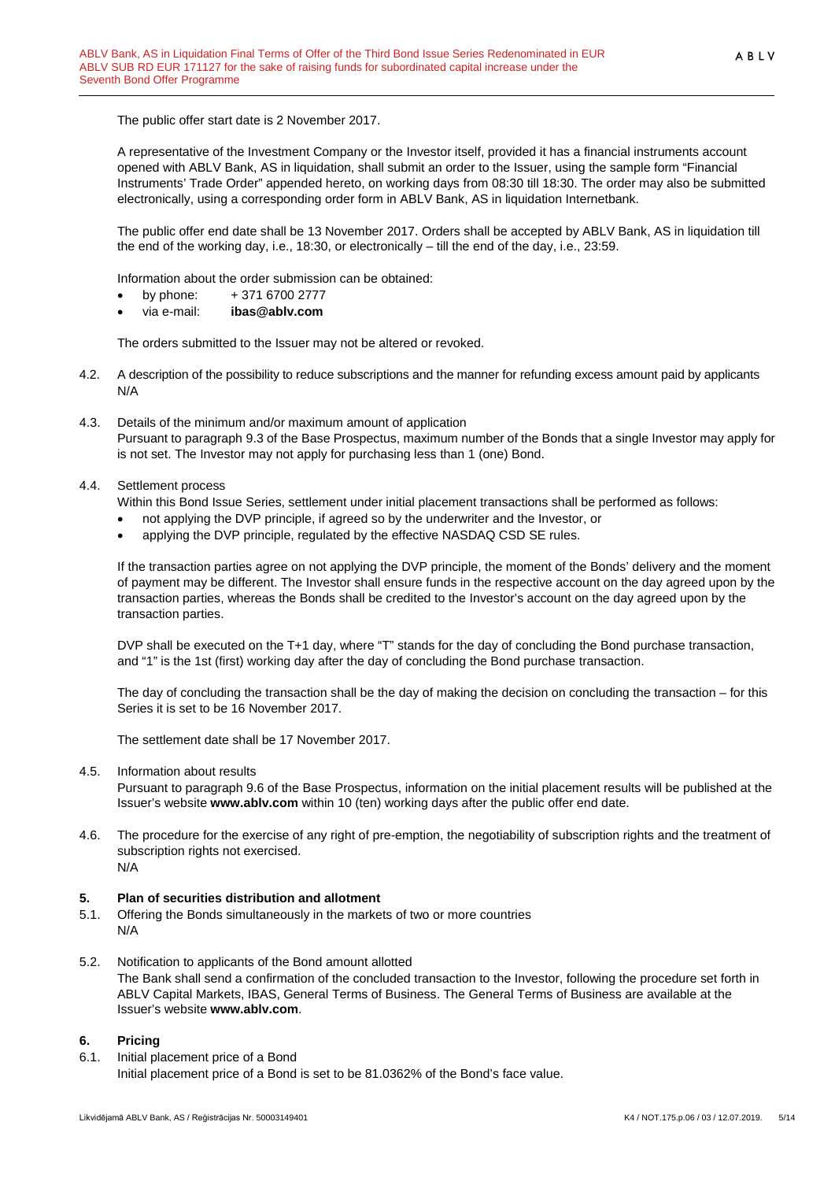The public offer start date is 2 November 2017.

A representative of the Investment Company or the Investor itself, provided it has a financial instruments account opened with ABLV Bank, AS in liquidation, shall submit an order to the Issuer, using the sample form "Financial Instruments' Trade Order" appended hereto, on working days from 08:30 till 18:30. The order may also be submitted electronically, using a corresponding order form in ABLV Bank, AS in liquidation Internetbank.

The public offer end date shall be 13 November 2017. Orders shall be accepted by ABLV Bank, AS in liquidation till the end of the working day, i.e., 18:30, or electronically – till the end of the day, i.e., 23:59.

Information about the order submission can be obtained:

- by phone:  $+371\,6700\,2777$
- via e-mail: **ibas@ablv.com**

The orders submitted to the Issuer may not be altered or revoked.

- 4.2. A description of the possibility to reduce subscriptions and the manner for refunding excess amount paid by applicants N/A
- 4.3. Details of the minimum and/or maximum amount of application Pursuant to paragraph 9.3 of the Base Prospectus, maximum number of the Bonds that a single Investor may apply for is not set. The Investor may not apply for purchasing less than 1 (one) Bond.

#### 4.4. Settlement process

Within this Bond Issue Series, settlement under initial placement transactions shall be performed as follows:

- not applying the DVP principle, if agreed so by the underwriter and the Investor, or
- applying the DVP principle, regulated by the effective NASDAQ CSD SE rules.

If the transaction parties agree on not applying the DVP principle, the moment of the Bonds' delivery and the moment of payment may be different. The Investor shall ensure funds in the respective account on the day agreed upon by the transaction parties, whereas the Bonds shall be credited to the Investor's account on the day agreed upon by the transaction parties.

DVP shall be executed on the T+1 day, where "T" stands for the day of concluding the Bond purchase transaction, and "1" is the 1st (first) working day after the day of concluding the Bond purchase transaction.

The day of concluding the transaction shall be the day of making the decision on concluding the transaction – for this Series it is set to be 16 November 2017.

The settlement date shall be 17 November 2017.

4.5. Information about results

Pursuant to paragraph 9.6 of the Base Prospectus, information on the initial placement results will be published at the Issuer's website **www.ablv.com** within 10 (ten) working days after the public offer end date.

4.6. The procedure for the exercise of any right of pre-emption, the negotiability of subscription rights and the treatment of subscription rights not exercised. N/A

#### <span id="page-4-0"></span>**5. Plan of securities distribution and allotment**

- 5.1. Offering the Bonds simultaneously in the markets of two or more countries N/A
- 5.2. Notification to applicants of the Bond amount allotted The Bank shall send a confirmation of the concluded transaction to the Investor, following the procedure set forth in ABLV Capital Markets, IBAS, General Terms of Business. The General Terms of Business are available at the Issuer's website **[www.ablv.com](http://www.ablv.com/)**.

#### <span id="page-4-1"></span>**6. Pricing**

6.1. Initial placement price of a Bond

Initial placement price of a Bond is set to be 81.0362% of the Bond's face value.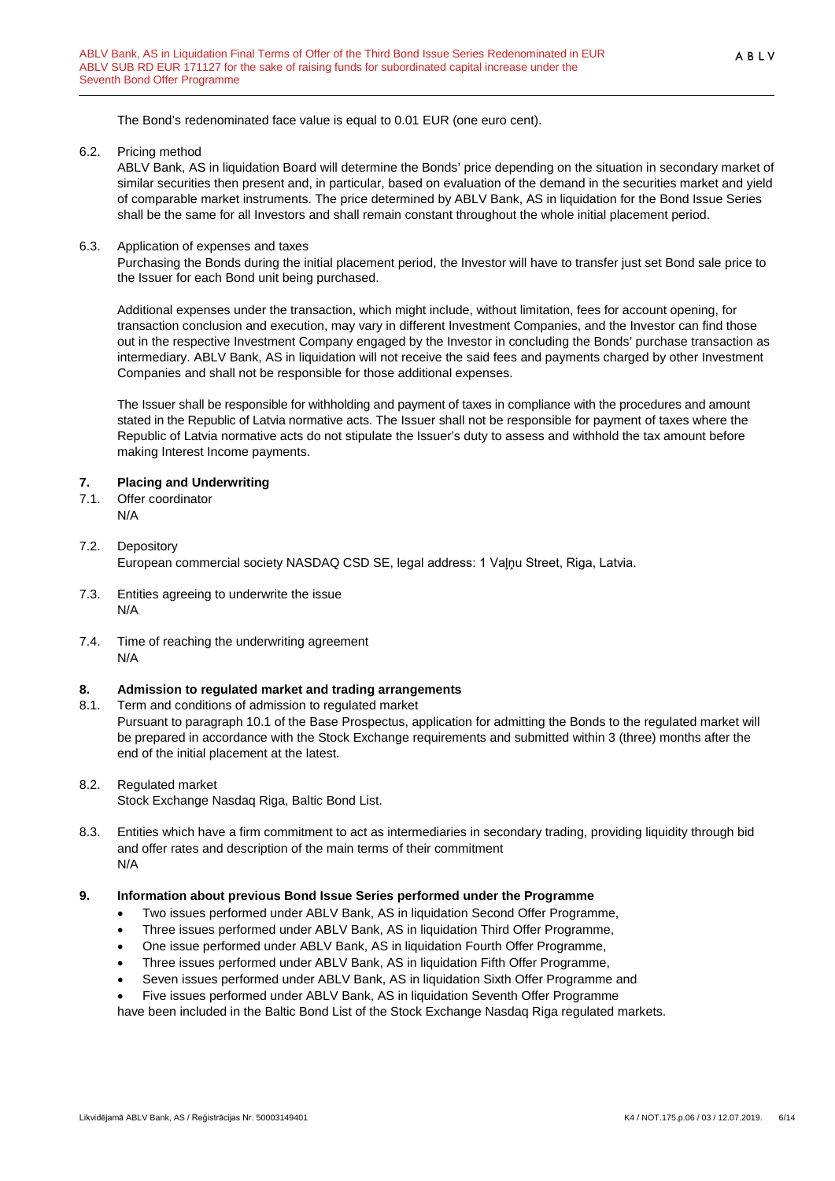The Bond's redenominated face value is equal to 0.01 EUR (one euro cent).

6.2. Pricing method

ABLV Bank, AS in liquidation Board will determine the Bonds' price depending on the situation in secondary market of similar securities then present and, in particular, based on evaluation of the demand in the securities market and yield of comparable market instruments. The price determined by ABLV Bank, AS in liquidation for the Bond Issue Series shall be the same for all Investors and shall remain constant throughout the whole initial placement period.

6.3. Application of expenses and taxes

Purchasing the Bonds during the initial placement period, the Investor will have to transfer just set Bond sale price to the Issuer for each Bond unit being purchased.

Additional expenses under the transaction, which might include, without limitation, fees for account opening, for transaction conclusion and execution, may vary in different Investment Companies, and the Investor can find those out in the respective Investment Company engaged by the Investor in concluding the Bonds' purchase transaction as intermediary. ABLV Bank, AS in liquidation will not receive the said fees and payments charged by other Investment Companies and shall not be responsible for those additional expenses.

The Issuer shall be responsible for withholding and payment of taxes in compliance with the procedures and amount stated in the Republic of Latvia normative acts. The Issuer shall not be responsible for payment of taxes where the Republic of Latvia normative acts do not stipulate the Issuer's duty to assess and withhold the tax amount before making Interest Income payments.

#### <span id="page-5-0"></span>**7. Placing and Underwriting**

7.1. Offer coordinator N/A

#### 7.2. Depository European commercial society NASDAQ CSD SE, legal address: 1 Vaļņu Street, Riga, Latvia.

- 7.3. Entities agreeing to underwrite the issue N/A
- 7.4. Time of reaching the underwriting agreement N/A

#### <span id="page-5-1"></span>**8. Admission to regulated market and trading arrangements**

8.1. Term and conditions of admission to regulated market

Pursuant to paragraph 10.1 of the Base Prospectus, application for admitting the Bonds to the regulated market will be prepared in accordance with the Stock Exchange requirements and submitted within 3 (three) months after the end of the initial placement at the latest.

#### 8.2. Regulated market

Stock Exchange Nasdaq Riga, Baltic Bond List.

8.3. Entities which have a firm commitment to act as intermediaries in secondary trading, providing liquidity through bid and offer rates and description of the main terms of their commitment N/A

#### <span id="page-5-2"></span>**9. Information about previous Bond Issue Series performed under the Programme**

- Two issues performed under ABLV Bank, AS in liquidation Second Offer Programme,
- Three issues performed under ABLV Bank, AS in liquidation Third Offer Programme,
- One issue performed under ABLV Bank, AS in liquidation Fourth Offer Programme,
- Three issues performed under ABLV Bank, AS in liquidation Fifth Offer Programme,
- Seven issues performed under ABLV Bank, AS in liquidation Sixth Offer Programme and
- Five issues performed under ABLV Bank, AS in liquidation Seventh Offer Programme

have been included in the Baltic Bond List of the Stock Exchange Nasdaq Riga regulated markets.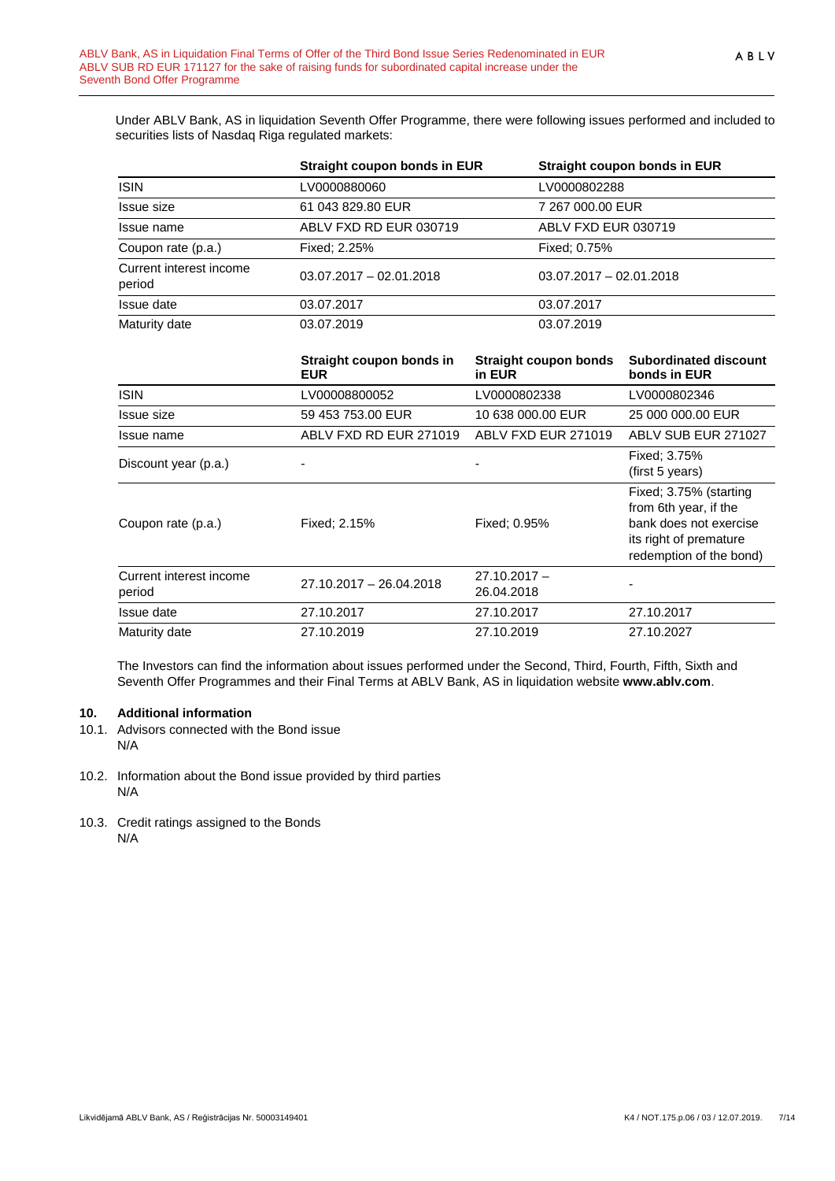Under ABLV Bank, AS in liquidation Seventh Offer Programme, there were following issues performed and included to securities lists of Nasdaq Riga regulated markets:

|                                   | Straight coupon bonds in EUR | Straight coupon bonds in EUR |
|-----------------------------------|------------------------------|------------------------------|
| <b>ISIN</b>                       | LV0000880060                 | LV0000802288                 |
| Issue size                        | 61 043 829.80 EUR            | 7 267 000.00 EUR             |
| Issue name                        | ABLV FXD RD EUR 030719       | ABLV FXD EUR 030719          |
| Coupon rate (p.a.)                | Fixed: 2.25%                 | Fixed: 0.75%                 |
| Current interest income<br>period | $03.07.2017 - 02.01.2018$    | $03.07.2017 - 02.01.2018$    |
| Issue date                        | 03.07.2017                   | 03.07.2017                   |
| Maturity date                     | 03.07.2019                   | 03.07.2019                   |

|                                   | Straight coupon bonds in<br><b>EUR</b> | Straight coupon bonds<br>in EUR | <b>Subordinated discount</b><br>bonds in EUR                                                                                   |
|-----------------------------------|----------------------------------------|---------------------------------|--------------------------------------------------------------------------------------------------------------------------------|
| <b>ISIN</b>                       | LV00008800052                          | LV0000802338                    | LV0000802346                                                                                                                   |
| <b>Issue size</b>                 | 59 453 753.00 EUR                      | 10 638 000.00 EUR               | 25 000 000.00 EUR                                                                                                              |
| Issue name                        | ABLV FXD RD EUR 271019                 | ABLV FXD EUR 271019             | ABLV SUB EUR 271027                                                                                                            |
| Discount year (p.a.)              |                                        |                                 | Fixed: 3.75%<br>(first 5 years)                                                                                                |
| Coupon rate (p.a.)                | Fixed: 2.15%                           | Fixed: 0.95%                    | Fixed: 3.75% (starting<br>from 6th year, if the<br>bank does not exercise<br>its right of premature<br>redemption of the bond) |
| Current interest income<br>period | 27.10.2017 - 26.04.2018                | $27.10.2017 -$<br>26.04.2018    |                                                                                                                                |
| Issue date                        | 27.10.2017                             | 27.10.2017                      | 27.10.2017                                                                                                                     |
| Maturity date                     | 27.10.2019                             | 27.10.2019                      | 27.10.2027                                                                                                                     |

The Investors can find the information about issues performed under the Second, Third, Fourth, Fifth, Sixth and Seventh Offer Programmes and their Final Terms at ABLV Bank, AS in liquidation website **[www.ablv.com](http://www.ablv.com/)**.

#### <span id="page-6-0"></span>**10. Additional information**

- 10.1. Advisors connected with the Bond issue N/A
- 10.2. Information about the Bond issue provided by third parties N/A
- 10.3. Credit ratings assigned to the Bonds N/A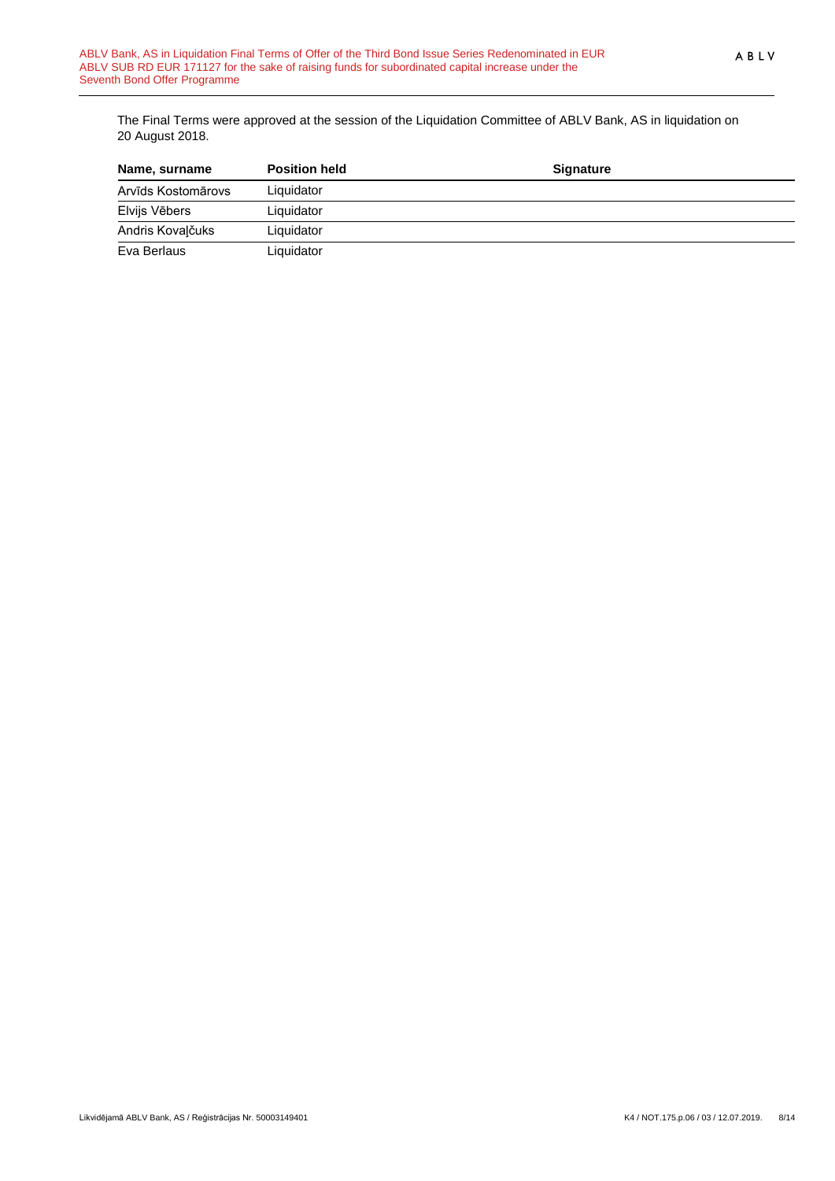The Final Terms were approved at the session of the Liquidation Committee of ABLV Bank, AS in liquidation on 20 August 2018.

| Name, surname      | <b>Position held</b> | <b>Signature</b> |  |
|--------------------|----------------------|------------------|--|
| Arvīds Kostomārovs | Liquidator           |                  |  |
| Elvijs Vēbers      | Liquidator           |                  |  |
| Andris Kovalčuks   | Liquidator           |                  |  |
| Eva Berlaus        | Liquidator           |                  |  |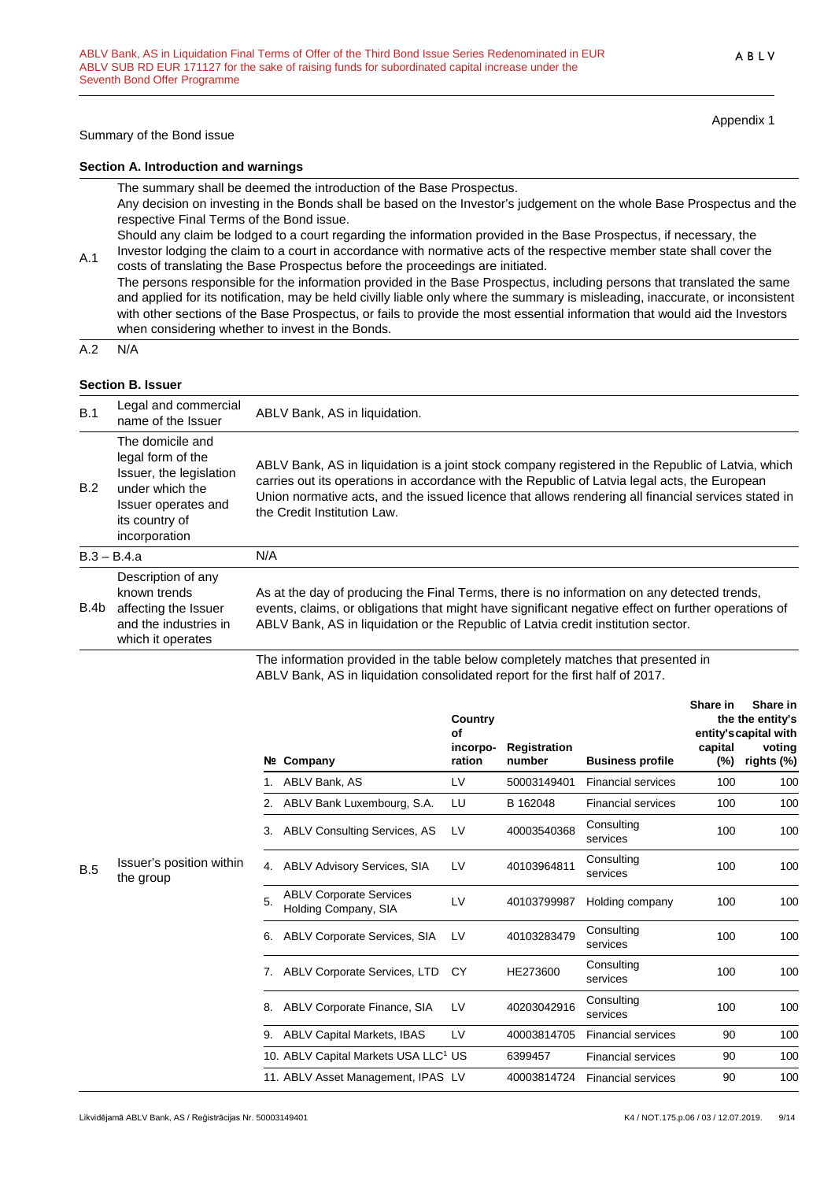#### Summary of the Bond issue

**Section A. Introduction and warnings**

The summary shall be deemed the introduction of the Base Prospectus. Any decision on investing in the Bonds shall be based on the Investor's judgement on the whole Base Prospectus and the respective Final Terms of the Bond issue. Should any claim be lodged to a court regarding the information provided in the Base Prospectus, if necessary, the

A.1 Investor lodging the claim to a court in accordance with normative acts of the respective member state shall cover the costs of translating the Base Prospectus before the proceedings are initiated.

The persons responsible for the information provided in the Base Prospectus, including persons that translated the same and applied for its notification, may be held civilly liable only where the summary is misleading, inaccurate, or inconsistent with other sections of the Base Prospectus, or fails to provide the most essential information that would aid the Investors when considering whether to invest in the Bonds.

A.2 N/A

#### **Section B. Issuer**

| B.1  | Legal and commercial<br>name of the Issuer                                                                                                    | ABLV Bank, AS in liquidation.                                                                                                                                                                                                                                                                                                            |
|------|-----------------------------------------------------------------------------------------------------------------------------------------------|------------------------------------------------------------------------------------------------------------------------------------------------------------------------------------------------------------------------------------------------------------------------------------------------------------------------------------------|
| B.2  | The domicile and<br>legal form of the<br>Issuer, the legislation<br>under which the<br>Issuer operates and<br>its country of<br>incorporation | ABLV Bank, AS in liquidation is a joint stock company registered in the Republic of Latvia, which<br>carries out its operations in accordance with the Republic of Latvia legal acts, the European<br>Union normative acts, and the issued licence that allows rendering all financial services stated in<br>the Credit Institution Law. |
|      | $B.3 - B.4.a$                                                                                                                                 | N/A                                                                                                                                                                                                                                                                                                                                      |
| B.4b | Description of any<br>known trends<br>affecting the Issuer<br>and the industries in<br>which it operates                                      | As at the day of producing the Final Terms, there is no information on any detected trends,<br>events, claims, or obligations that might have significant negative effect on further operations of<br>ABLV Bank, AS in liquidation or the Republic of Latvia credit institution sector.                                                  |
|      |                                                                                                                                               | The information provided in the table holess completely motobes that proceeded in                                                                                                                                                                                                                                                        |

The information provided in the table below completely matches that presented in ABLV Bank, AS in liquidation consolidated report for the first half of 2017.

|            |                                       |    |                                                        | Country<br>Οf      |                        |                           | Share in       | Share in<br>the the entity's<br>entity's capital with |
|------------|---------------------------------------|----|--------------------------------------------------------|--------------------|------------------------|---------------------------|----------------|-------------------------------------------------------|
|            |                                       |    | Nº Company                                             | incorpo-<br>ration | Registration<br>number | <b>Business profile</b>   | capital<br>(%) | voting<br>rights (%)                                  |
|            |                                       |    | ABLV Bank, AS                                          | LV                 | 50003149401            | <b>Financial services</b> | 100            | 100                                                   |
|            |                                       | 2. | ABLV Bank Luxembourg, S.A.                             | LU                 | B 162048               | <b>Financial services</b> | 100            | 100                                                   |
|            |                                       | 3. | <b>ABLV Consulting Services, AS</b>                    | LV                 | 40003540368            | Consulting<br>services    | 100            | 100                                                   |
| <b>B.5</b> | Issuer's position within<br>the group | 4. | <b>ABLV Advisory Services, SIA</b>                     | LV                 | 40103964811            | Consulting<br>services    | 100            | 100                                                   |
|            |                                       | 5. | <b>ABLV Corporate Services</b><br>Holding Company, SIA | LV                 | 40103799987            | Holding company           | 100            | 100                                                   |
|            |                                       | 6. | <b>ABLV Corporate Services, SIA</b>                    | LV                 | 40103283479            | Consulting<br>services    | 100            | 100                                                   |
|            |                                       | 7. | ABLV Corporate Services, LTD                           | <b>CY</b>          | HE273600               | Consulting<br>services    | 100            | 100                                                   |
|            |                                       | 8. | ABLV Corporate Finance, SIA                            | LV                 | 40203042916            | Consulting<br>services    | 100            | 100                                                   |
|            |                                       | 9. | ABLV Capital Markets, IBAS                             | LV                 | 40003814705            | <b>Financial services</b> | 90             | 100                                                   |
|            |                                       |    | 10. ABLV Capital Markets USA LLC <sup>1</sup> US       |                    | 6399457                | <b>Financial services</b> | 90             | 100                                                   |
|            |                                       |    | 11. ABLV Asset Management, IPAS LV                     |                    | 40003814724            | <b>Financial services</b> | 90             | 100                                                   |

Appendix 1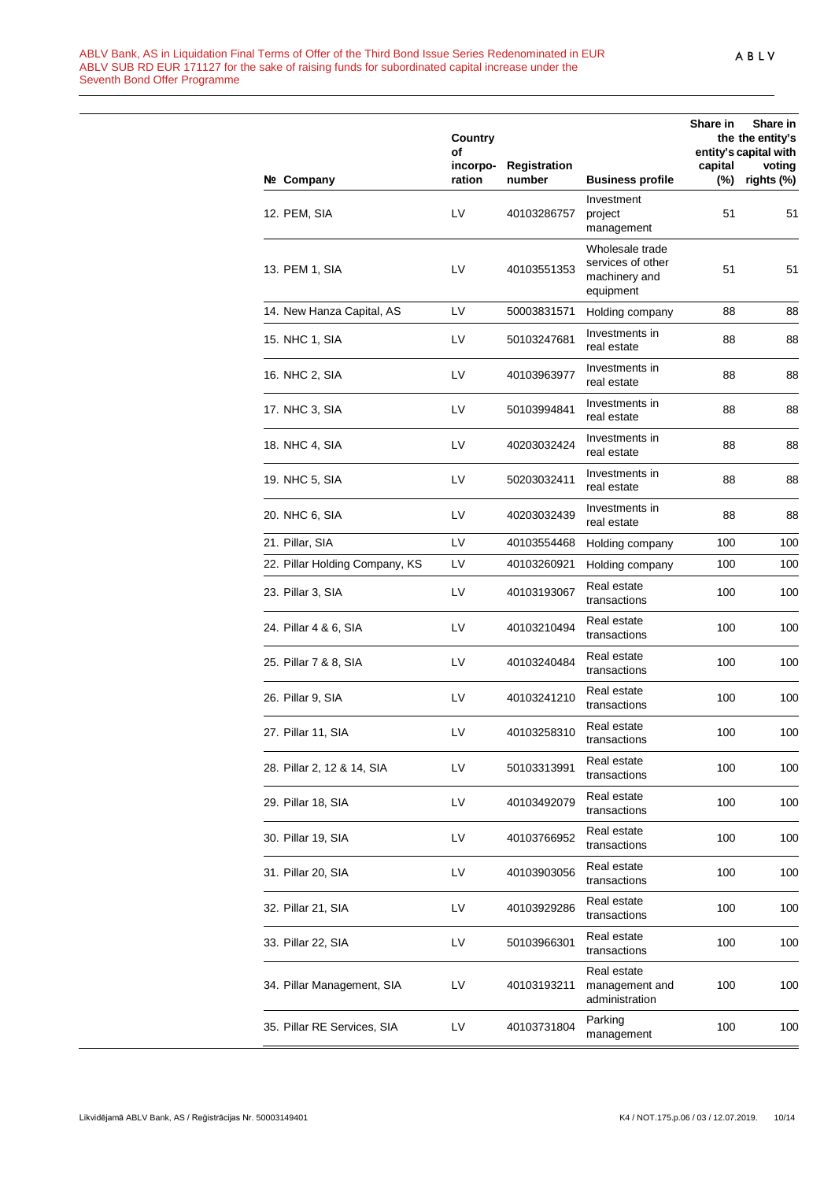|                                | Country<br>of      |                        |                                                                    | Share in       | Share in<br>the the entity's<br>entity's capital with |
|--------------------------------|--------------------|------------------------|--------------------------------------------------------------------|----------------|-------------------------------------------------------|
| Nº Company                     | incorpo-<br>ration | Registration<br>number | <b>Business profile</b>                                            | capital<br>(%) | voting<br>rights (%)                                  |
| 12. PEM, SIA                   | LV                 | 40103286757            | Investment<br>project<br>management                                | 51             | 51                                                    |
| 13. PEM 1, SIA                 | LV                 | 40103551353            | Wholesale trade<br>services of other<br>machinery and<br>equipment | 51             | 51                                                    |
| 14. New Hanza Capital, AS      | LV                 | 50003831571            | Holding company                                                    | 88             | 88                                                    |
| 15. NHC 1, SIA                 | LV                 | 50103247681            | Investments in<br>real estate                                      | 88             | 88                                                    |
| 16. NHC 2, SIA                 | LV                 | 40103963977            | Investments in<br>real estate                                      | 88             | 88                                                    |
| 17. NHC 3, SIA                 | LV                 | 50103994841            | Investments in<br>real estate                                      | 88             | 88                                                    |
| 18. NHC 4, SIA                 | LV                 | 40203032424            | Investments in<br>real estate                                      | 88             | 88                                                    |
| 19. NHC 5, SIA                 | LV                 | 50203032411            | Investments in<br>real estate                                      | 88             | 88                                                    |
| 20. NHC 6, SIA                 | LV                 | 40203032439            | Investments in<br>real estate                                      | 88             | 88                                                    |
| 21. Pillar, SIA                | LV                 | 40103554468            | Holding company                                                    | 100            | 100                                                   |
| 22. Pillar Holding Company, KS | LV                 | 40103260921            | Holding company                                                    | 100            | 100                                                   |
| 23. Pillar 3, SIA              | LV                 | 40103193067            | Real estate<br>transactions                                        | 100            | 100                                                   |
| 24. Pillar 4 & 6, SIA          | LV                 | 40103210494            | Real estate<br>transactions                                        | 100            | 100                                                   |
| 25. Pillar 7 & 8, SIA          | LV                 | 40103240484            | Real estate<br>transactions                                        | 100            | 100                                                   |
| 26. Pillar 9, SIA              | LV                 | 40103241210            | Real estate<br>transactions                                        | 100            | 100                                                   |
| 27. Pillar 11, SIA             | LV                 | 40103258310            | Real estate<br>transactions                                        | 100            | 100                                                   |
| 28. Pillar 2, 12 & 14, SIA     | LV                 | 50103313991            | Real estate<br>transactions                                        | 100            | 100                                                   |
| 29. Pillar 18, SIA             | LV                 | 40103492079            | Real estate<br>transactions                                        | 100            | 100                                                   |
| 30. Pillar 19, SIA             | LV                 | 40103766952            | Real estate<br>transactions                                        | 100            | 100                                                   |
| 31. Pillar 20, SIA             | LV                 | 40103903056            | Real estate<br>transactions                                        | 100            | 100                                                   |
| 32. Pillar 21, SIA             | LV                 | 40103929286            | Real estate<br>transactions                                        | 100            | 100                                                   |
| 33. Pillar 22, SIA             | LV                 | 50103966301            | Real estate<br>transactions                                        | 100            | 100                                                   |
| 34. Pillar Management, SIA     | LV                 | 40103193211            | Real estate<br>management and<br>administration                    | 100            | 100                                                   |
| 35. Pillar RE Services, SIA    | LV                 | 40103731804            | Parking<br>management                                              | 100            | 100                                                   |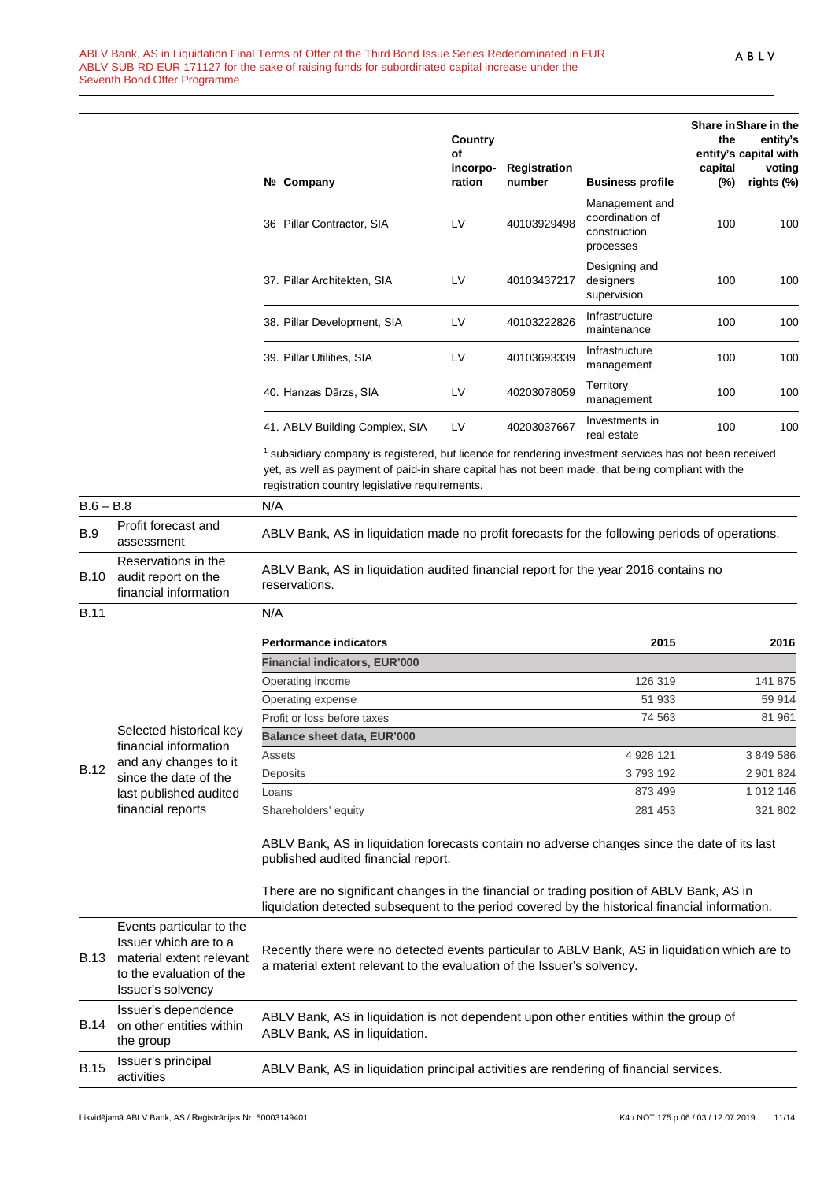| Nº. | Company                        | Country<br>Οf<br>incorpo-<br>ration | Registration<br>number | <b>Business profile</b>                                        | the<br>capital<br>$(\%)$ | Share in Share in the<br>entity's<br>entity's capital with<br>voting<br>rights (%) |
|-----|--------------------------------|-------------------------------------|------------------------|----------------------------------------------------------------|--------------------------|------------------------------------------------------------------------------------|
|     | 36 Pillar Contractor, SIA      | LV                                  | 40103929498            | Management and<br>coordination of<br>construction<br>processes | 100                      | 100                                                                                |
|     | 37. Pillar Architekten, SIA    | I V                                 | 40103437217            | Designing and<br>designers<br>supervision                      | 100                      | 100                                                                                |
|     | 38. Pillar Development, SIA    | LV                                  | 40103222826            | Infrastructure<br>maintenance                                  | 100                      | 100                                                                                |
|     | 39. Pillar Utilities, SIA      | LV                                  | 40103693339            | Infrastructure<br>management                                   | 100                      | 100                                                                                |
|     | 40. Hanzas Dārzs, SIA          | LV                                  | 40203078059            | Territory<br>management                                        | 100                      | 100                                                                                |
|     | 41. ABLV Building Complex, SIA | LV                                  | 40203037667            | Investments in<br>real estate                                  | 100                      | 100                                                                                |

 $1$  subsidiary company is registered, but licence for rendering investment services has not been received yet, as well as payment of paid-in share capital has not been made, that being compliant with the registration country legislative requirements.

| $B.6 - B.8$                                     |                                                                                                                              | N/A                                                                                                  |           |           |
|-------------------------------------------------|------------------------------------------------------------------------------------------------------------------------------|------------------------------------------------------------------------------------------------------|-----------|-----------|
| Profit forecast and<br><b>B.9</b><br>assessment |                                                                                                                              | ABLV Bank, AS in liquidation made no profit forecasts for the following periods of operations.       |           |           |
| <b>B.10</b>                                     | Reservations in the<br>audit report on the<br>financial information                                                          | ABLV Bank, AS in liquidation audited financial report for the year 2016 contains no<br>reservations. |           |           |
| <b>B.11</b>                                     |                                                                                                                              | N/A                                                                                                  |           |           |
| <b>B.12</b>                                     |                                                                                                                              | <b>Performance indicators</b>                                                                        | 2015      | 2016      |
|                                                 | Selected historical key<br>financial information<br>and any changes to it<br>since the date of the<br>last published audited | <b>Financial indicators, EUR'000</b>                                                                 |           |           |
|                                                 |                                                                                                                              | Operating income                                                                                     | 126 319   | 141 875   |
|                                                 |                                                                                                                              | Operating expense                                                                                    | 51 933    | 59 914    |
|                                                 |                                                                                                                              | Profit or loss before taxes                                                                          | 74 563    | 81 961    |
|                                                 |                                                                                                                              | <b>Balance sheet data, EUR'000</b>                                                                   |           |           |
|                                                 |                                                                                                                              | Assets                                                                                               | 4 928 121 | 3 849 586 |
|                                                 |                                                                                                                              | Deposits                                                                                             | 3793192   | 2 901 824 |
|                                                 |                                                                                                                              | Loans                                                                                                | 873 499   | 1 012 146 |
|                                                 | financial reports                                                                                                            | Shareholders' equity                                                                                 | 281 453   | 321 802   |

ABLV Bank, AS in liquidation forecasts contain no adverse changes since the date of its last published audited financial report.

There are no significant changes in the financial or trading position of ABLV Bank, AS in liquidation detected subsequent to the period covered by the historical financial information.

| <b>B.13</b> | Events particular to the<br>Issuer which are to a<br>material extent relevant<br>to the evaluation of the<br>Issuer's solvency | Recently there were no detected events particular to ABLV Bank, AS in liquidation which are to<br>a material extent relevant to the evaluation of the Issuer's solvency. |
|-------------|--------------------------------------------------------------------------------------------------------------------------------|--------------------------------------------------------------------------------------------------------------------------------------------------------------------------|
| <b>B.14</b> | Issuer's dependence<br>on other entities within<br>the group                                                                   | ABLV Bank, AS in liquidation is not dependent upon other entities within the group of<br>ABLV Bank, AS in liquidation.                                                   |
| <b>B.15</b> | Issuer's principal<br>activities                                                                                               | ABLV Bank, AS in liquidation principal activities are rendering of financial services.                                                                                   |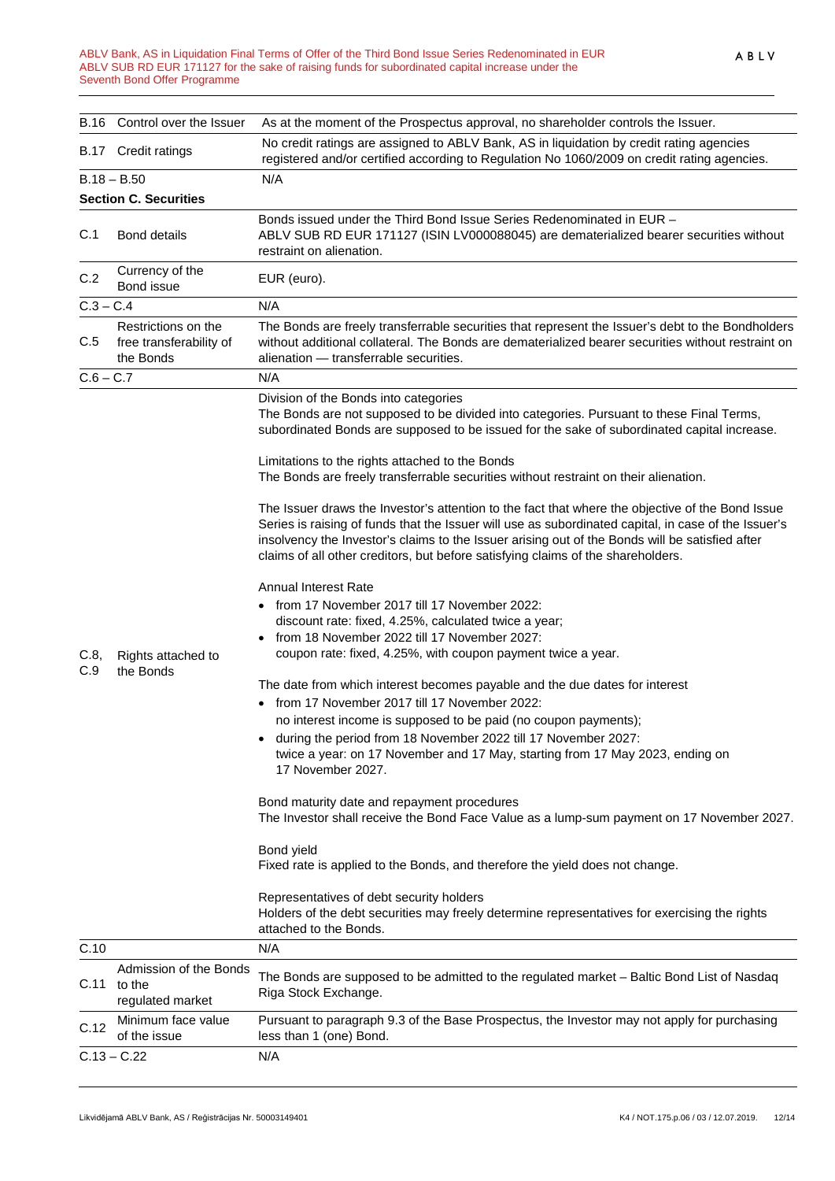#### ABLV Bank, AS in Liquidation Final Terms of Offer of the Third Bond Issue Series Redenominated in EUR ABLV SUB RD EUR 171127 for the sake of raising funds for subordinated capital increase under the Seventh Bond Offer Programme

|               | B.16 Control over the Issuer                                | As at the moment of the Prospectus approval, no shareholder controls the Issuer.                                                                                                                                                                                                                                                                                                                                                                                                                                                                                                                                                                                                                                                                                                                                                                                           |
|---------------|-------------------------------------------------------------|----------------------------------------------------------------------------------------------------------------------------------------------------------------------------------------------------------------------------------------------------------------------------------------------------------------------------------------------------------------------------------------------------------------------------------------------------------------------------------------------------------------------------------------------------------------------------------------------------------------------------------------------------------------------------------------------------------------------------------------------------------------------------------------------------------------------------------------------------------------------------|
|               | B.17 Credit ratings                                         | No credit ratings are assigned to ABLV Bank, AS in liquidation by credit rating agencies<br>registered and/or certified according to Regulation No 1060/2009 on credit rating agencies.                                                                                                                                                                                                                                                                                                                                                                                                                                                                                                                                                                                                                                                                                    |
| $B.18 - B.50$ |                                                             | N/A                                                                                                                                                                                                                                                                                                                                                                                                                                                                                                                                                                                                                                                                                                                                                                                                                                                                        |
|               | <b>Section C. Securities</b>                                |                                                                                                                                                                                                                                                                                                                                                                                                                                                                                                                                                                                                                                                                                                                                                                                                                                                                            |
| C.1           | <b>Bond details</b>                                         | Bonds issued under the Third Bond Issue Series Redenominated in EUR -<br>ABLV SUB RD EUR 171127 (ISIN LV000088045) are dematerialized bearer securities without<br>restraint on alienation.                                                                                                                                                                                                                                                                                                                                                                                                                                                                                                                                                                                                                                                                                |
| C.2           | Currency of the<br>Bond issue                               | EUR (euro).                                                                                                                                                                                                                                                                                                                                                                                                                                                                                                                                                                                                                                                                                                                                                                                                                                                                |
| $C.3 - C.4$   |                                                             | N/A                                                                                                                                                                                                                                                                                                                                                                                                                                                                                                                                                                                                                                                                                                                                                                                                                                                                        |
| C.5           | Restrictions on the<br>free transferability of<br>the Bonds | The Bonds are freely transferrable securities that represent the Issuer's debt to the Bondholders<br>without additional collateral. The Bonds are dematerialized bearer securities without restraint on<br>alienation - transferrable securities.                                                                                                                                                                                                                                                                                                                                                                                                                                                                                                                                                                                                                          |
| $C.6 - C.7$   |                                                             | N/A                                                                                                                                                                                                                                                                                                                                                                                                                                                                                                                                                                                                                                                                                                                                                                                                                                                                        |
| C.8,<br>C.9   | Rights attached to<br>the Bonds                             | Division of the Bonds into categories<br>The Bonds are not supposed to be divided into categories. Pursuant to these Final Terms,<br>subordinated Bonds are supposed to be issued for the sake of subordinated capital increase.<br>Limitations to the rights attached to the Bonds<br>The Bonds are freely transferrable securities without restraint on their alienation.                                                                                                                                                                                                                                                                                                                                                                                                                                                                                                |
|               |                                                             | The Issuer draws the Investor's attention to the fact that where the objective of the Bond Issue<br>Series is raising of funds that the Issuer will use as subordinated capital, in case of the Issuer's<br>insolvency the Investor's claims to the Issuer arising out of the Bonds will be satisfied after<br>claims of all other creditors, but before satisfying claims of the shareholders.                                                                                                                                                                                                                                                                                                                                                                                                                                                                            |
|               |                                                             | <b>Annual Interest Rate</b><br>• from 17 November 2017 till 17 November 2022:<br>discount rate: fixed, 4.25%, calculated twice a year;<br>from 18 November 2022 till 17 November 2027:<br>coupon rate: fixed, 4.25%, with coupon payment twice a year.<br>The date from which interest becomes payable and the due dates for interest<br>from 17 November 2017 till 17 November 2022:<br>no interest income is supposed to be paid (no coupon payments);<br>during the period from 18 November 2022 till 17 November 2027:<br>twice a year: on 17 November and 17 May, starting from 17 May 2023, ending on<br>17 November 2027.<br>Bond maturity date and repayment procedures<br>The Investor shall receive the Bond Face Value as a lump-sum payment on 17 November 2027.<br>Bond yield<br>Fixed rate is applied to the Bonds, and therefore the yield does not change. |
|               |                                                             | Representatives of debt security holders<br>Holders of the debt securities may freely determine representatives for exercising the rights<br>attached to the Bonds.                                                                                                                                                                                                                                                                                                                                                                                                                                                                                                                                                                                                                                                                                                        |
| C.10          |                                                             | N/A                                                                                                                                                                                                                                                                                                                                                                                                                                                                                                                                                                                                                                                                                                                                                                                                                                                                        |
| C.11          | Admission of the Bonds<br>to the<br>regulated market        | The Bonds are supposed to be admitted to the regulated market - Baltic Bond List of Nasdaq<br>Riga Stock Exchange.                                                                                                                                                                                                                                                                                                                                                                                                                                                                                                                                                                                                                                                                                                                                                         |
| C.12          | Minimum face value<br>of the issue                          | Pursuant to paragraph 9.3 of the Base Prospectus, the Investor may not apply for purchasing<br>less than 1 (one) Bond.                                                                                                                                                                                                                                                                                                                                                                                                                                                                                                                                                                                                                                                                                                                                                     |
| $C.13 - C.22$ |                                                             | N/A                                                                                                                                                                                                                                                                                                                                                                                                                                                                                                                                                                                                                                                                                                                                                                                                                                                                        |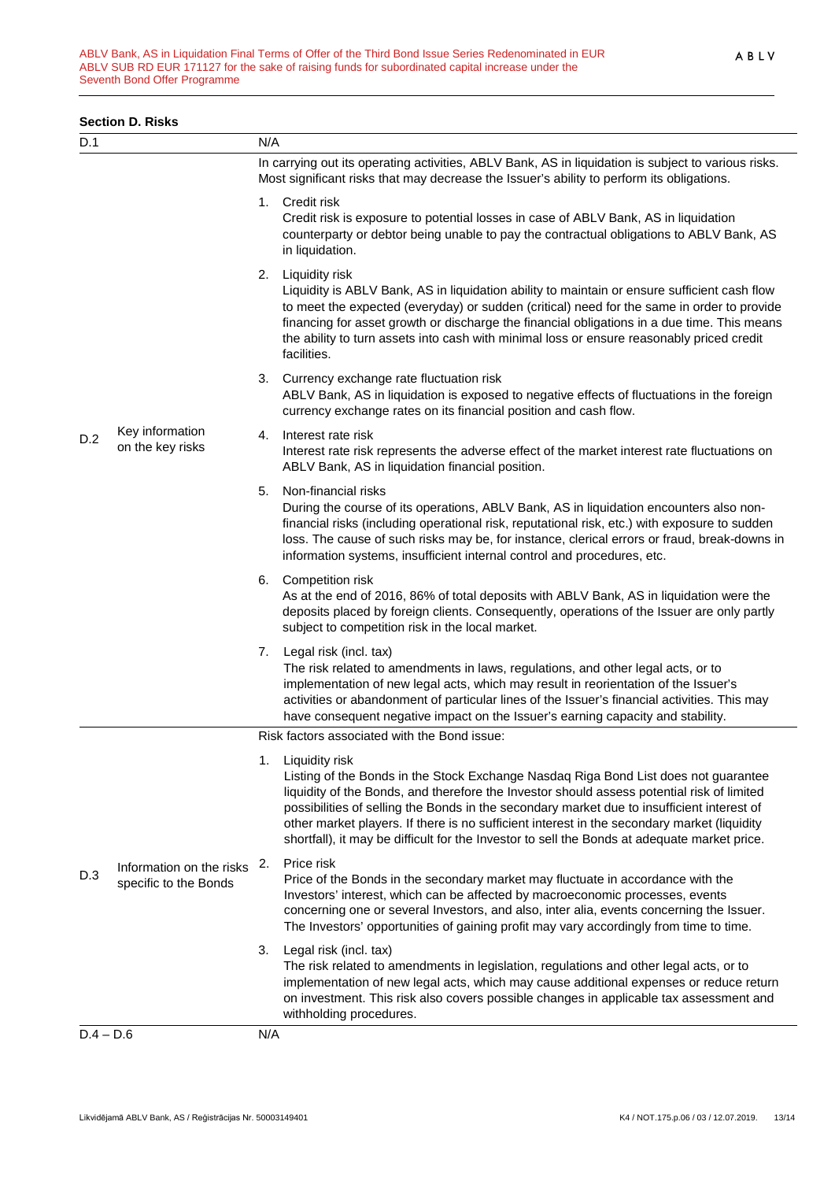#### **Section D. Risks**

| D.1         |                                                   | N/A |                                                                                                                                                                                                                                                                                                                                                                                                                                                                                                     |
|-------------|---------------------------------------------------|-----|-----------------------------------------------------------------------------------------------------------------------------------------------------------------------------------------------------------------------------------------------------------------------------------------------------------------------------------------------------------------------------------------------------------------------------------------------------------------------------------------------------|
|             |                                                   |     | In carrying out its operating activities, ABLV Bank, AS in liquidation is subject to various risks.<br>Most significant risks that may decrease the Issuer's ability to perform its obligations.                                                                                                                                                                                                                                                                                                    |
|             |                                                   |     | 1. Credit risk<br>Credit risk is exposure to potential losses in case of ABLV Bank, AS in liquidation<br>counterparty or debtor being unable to pay the contractual obligations to ABLV Bank, AS<br>in liquidation.                                                                                                                                                                                                                                                                                 |
| D.2<br>D.3  | Key information<br>on the key risks               |     | 2. Liquidity risk<br>Liquidity is ABLV Bank, AS in liquidation ability to maintain or ensure sufficient cash flow<br>to meet the expected (everyday) or sudden (critical) need for the same in order to provide<br>financing for asset growth or discharge the financial obligations in a due time. This means<br>the ability to turn assets into cash with minimal loss or ensure reasonably priced credit<br>facilities.                                                                          |
|             |                                                   |     | 3. Currency exchange rate fluctuation risk<br>ABLV Bank, AS in liquidation is exposed to negative effects of fluctuations in the foreign<br>currency exchange rates on its financial position and cash flow.                                                                                                                                                                                                                                                                                        |
|             |                                                   | 4.  | Interest rate risk<br>Interest rate risk represents the adverse effect of the market interest rate fluctuations on<br>ABLV Bank, AS in liquidation financial position.                                                                                                                                                                                                                                                                                                                              |
|             |                                                   | 5.  | Non-financial risks<br>During the course of its operations, ABLV Bank, AS in liquidation encounters also non-<br>financial risks (including operational risk, reputational risk, etc.) with exposure to sudden<br>loss. The cause of such risks may be, for instance, clerical errors or fraud, break-downs in<br>information systems, insufficient internal control and procedures, etc.                                                                                                           |
|             |                                                   |     | 6. Competition risk<br>As at the end of 2016, 86% of total deposits with ABLV Bank, AS in liquidation were the<br>deposits placed by foreign clients. Consequently, operations of the Issuer are only partly<br>subject to competition risk in the local market.                                                                                                                                                                                                                                    |
|             |                                                   |     | 7. Legal risk (incl. tax)<br>The risk related to amendments in laws, regulations, and other legal acts, or to<br>implementation of new legal acts, which may result in reorientation of the Issuer's<br>activities or abandonment of particular lines of the Issuer's financial activities. This may<br>have consequent negative impact on the Issuer's earning capacity and stability.                                                                                                             |
|             |                                                   |     | Risk factors associated with the Bond issue:                                                                                                                                                                                                                                                                                                                                                                                                                                                        |
|             | Information on the risks<br>specific to the Bonds |     | 1. Liquidity risk<br>Listing of the Bonds in the Stock Exchange Nasdaq Riga Bond List does not guarantee<br>liquidity of the Bonds, and therefore the Investor should assess potential risk of limited<br>possibilities of selling the Bonds in the secondary market due to insufficient interest of<br>other market players. If there is no sufficient interest in the secondary market (liquidity<br>shortfall), it may be difficult for the Investor to sell the Bonds at adequate market price. |
|             |                                                   | 2.  | Price risk<br>Price of the Bonds in the secondary market may fluctuate in accordance with the<br>Investors' interest, which can be affected by macroeconomic processes, events<br>concerning one or several Investors, and also, inter alia, events concerning the Issuer.<br>The Investors' opportunities of gaining profit may vary accordingly from time to time.                                                                                                                                |
|             |                                                   | 3.  | Legal risk (incl. tax)<br>The risk related to amendments in legislation, regulations and other legal acts, or to<br>implementation of new legal acts, which may cause additional expenses or reduce return<br>on investment. This risk also covers possible changes in applicable tax assessment and<br>withholding procedures.                                                                                                                                                                     |
| $D.4 - D.6$ |                                                   | N/A |                                                                                                                                                                                                                                                                                                                                                                                                                                                                                                     |